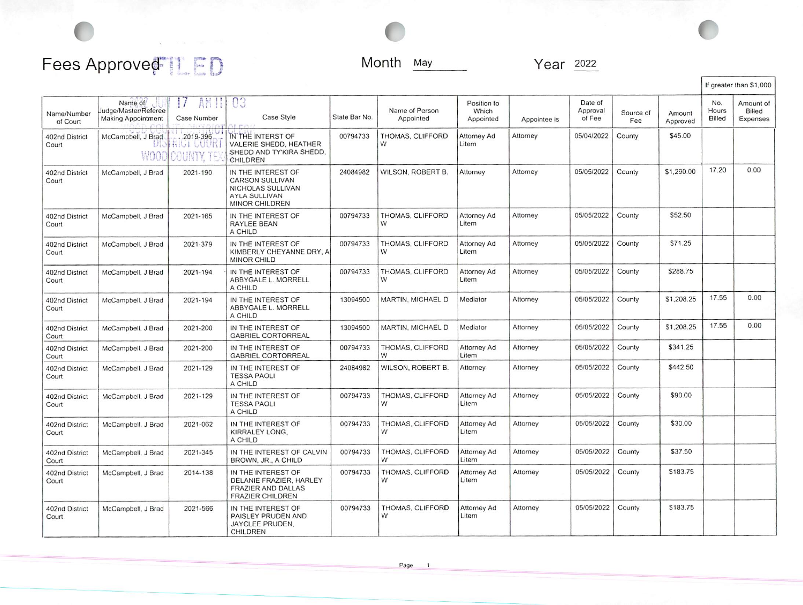## Fees Approved<sup>[</sup>[ $E$ D]

 $\overline{\mathbb{C}}$ 

Month May Year 2022

 $\overline{\mathbb{C}}$ 

 $\mathcal{P}(\mathcal{P}(\mathcal{P})) = \mathcal{P}(\mathcal{P}(\mathcal{P})) = \mathcal{P}(\mathcal{P}(\mathcal{P})) = \mathcal{P}(\mathcal{P})$ 

|                         |                                                              |                       |                                                                                                       |               |                             |                                   |              |                               |                  |                    |                        | If greater than \$1,000         |
|-------------------------|--------------------------------------------------------------|-----------------------|-------------------------------------------------------------------------------------------------------|---------------|-----------------------------|-----------------------------------|--------------|-------------------------------|------------------|--------------------|------------------------|---------------------------------|
| Name/Number<br>of Court | Name of<br>Judge/Master/Referee<br><b>Making Appointment</b> | Case Number           | 03<br>Case Style<br>LED!                                                                              | State Bar No. | Name of Person<br>Appointed | Position to<br>Which<br>Appointed | Appointee is | Date of<br>Approval<br>of Fee | Source of<br>Fee | Amount<br>Approved | No.<br>Hours<br>Billed | Amount of<br>Billed<br>Expenses |
| 402nd District<br>Court | McCampbell, J Brad<br>WOOI                                   | 2019-396<br>riut guur | IN THE INTERST OF<br>VALERIE SHEDD, HEATHER<br>SHEDD AND TY'KIRA SHEDD.<br>CHILDREN                   | 00794733      | THOMAS, CLIFFORD<br>W       | Attorney Ad<br>Litem              | Attorney     | 05/04/2022                    | County           | \$45.00            |                        |                                 |
| 402nd District<br>Court | McCampbell, J Brad                                           | 2021-190              | IN THE INTEREST OF<br><b>CARSON SULLIVAN</b><br>NICHOLAS SULLIVAN<br>AYLA SULLIVAN<br>MINOR CHILDREN  | 24084982      | WILSON, ROBERT B.           | Attorney                          | Attorney     | 05/05/2022                    | County           | \$1,290.00         | 17.20                  | 0.00                            |
| 402nd District<br>Court | McCampbell, J Brad                                           | 2021-165              | IN THE INTEREST OF<br>RAYLEE BEAN<br>A CHILD                                                          | 00794733      | THOMAS, CLIFFORD<br>W       | Attorney Ad<br>Litem              | Attorney     | 05/05/2022                    | County           | \$52.50            |                        |                                 |
| 402nd District<br>Court | McCampbell, J Brad                                           | 2021-379              | IN THE INTEREST OF<br>KIMBERLY CHEYANNE DRY, A<br>MINOR CHILD                                         | 00794733      | THOMAS, CLIFFORD<br>W       | <b>Attorney Ad</b><br>Litem       | Attorney     | 05/05/2022                    | County           | \$71.25            |                        |                                 |
| 402nd District<br>Court | McCampbell, J Brad                                           | 2021-194              | IN THE INTEREST OF<br>ABBYGALE L. MORRELL<br>A CHILD                                                  | 00794733      | THOMAS, CLIFFORD<br>W       | Attorney Ad<br>Litem              | Attorney     | 05/05/2022                    | County           | \$288.75           |                        |                                 |
| 402nd District<br>Court | McCampbell, J Brad                                           | 2021-194              | IN THE INTEREST OF<br>ABBYGALE L. MORRELL<br>A CHILD                                                  | 13094500      | MARTIN, MICHAEL D           | Mediator                          | Attorney     | 05/05/2022                    | County           | \$1,208.25         | 17.55                  | 0.00                            |
| 402nd District<br>Court | McCampbell, J Brad                                           | 2021-200              | IN THE INTEREST OF<br><b>GABRIEL CORTORREAL</b>                                                       | 13094500      | MARTIN, MICHAEL D           | Mediator                          | Attorney     | 05/05/2022                    | County           | \$1,208.25         | 17.55                  | 0.00                            |
| 402nd District<br>Court | McCampbell, J Brad                                           | 2021-200              | IN THE INTEREST OF<br><b>GABRIEL CORTORREAL</b>                                                       | 00794733      | THOMAS, CLIFFORD<br>W       | Attorney Ad<br>Litem              | Attorney     | 05/05/2022                    | County           | \$341.25           |                        |                                 |
| 402nd District<br>Court | McCampbell, J Brad                                           | 2021-129              | IN THE INTEREST OF<br><b>TESSA PAOLI</b><br>A CHILD                                                   | 24084982      | WILSON, ROBERT B.           | Attorney                          | Attorney     | 05/05/2022                    | County           | \$442.50           |                        |                                 |
| 402nd District<br>Court | McCampbell, J Brad                                           | 2021-129              | IN THE INTEREST OF<br><b>TESSA PAOLI</b><br>A CHILD                                                   | 00794733      | THOMAS, CLIFFORD<br>W       | Attorney Ad<br>Litem              | Attorney     | 05/05/2022                    | County           | \$90.00            |                        |                                 |
| 402nd District<br>Court | McCampbell, J Brad                                           | 2021-062              | IN THE INTEREST OF<br>KIRRALEY LONG,<br>A CHILD                                                       | 00794733      | THOMAS, CLIFFORD<br>W       | Attorney Ad<br>Litem              | Attorney     | 05/05/2022                    | County           | \$30.00            |                        |                                 |
| 402nd District<br>Court | McCampbell, J Brad                                           | 2021-345              | IN THE INTEREST OF CALVIN<br>BROWN, JR., A CHILD                                                      | 00794733      | THOMAS, CLIFFORD<br>W       | Attorney Ad<br>Litem              | Attorney     | 05/05/2022                    | County           | \$37.50            |                        |                                 |
| 402nd District<br>Court | McCampbell, J Brad                                           | 2014-138              | IN THE INTEREST OF<br>DELANIE FRAZIER, HARLEY<br><b>FRAZIER AND DALLAS</b><br><b>FRAZIER CHILDREN</b> | 00794733      | THOMAS, CLIFFORD<br>W       | Attorney Ad<br>Litem              | Attorney     | 05/05/2022                    | County           | \$183.75           |                        |                                 |
| 402nd District<br>Court | McCampbell, J Brad                                           | 2021-566              | IN THE INTEREST OF<br>PAISLEY PRUDEN AND<br>JAYCLEE PRUDEN,<br>CHILDREN                               | 00794733      | THOMAS, CLIFFORD<br>W       | Attorney Ad<br>Litem              | Attorney     | 05/05/2022                    | County           | \$183.75           |                        |                                 |

Page 1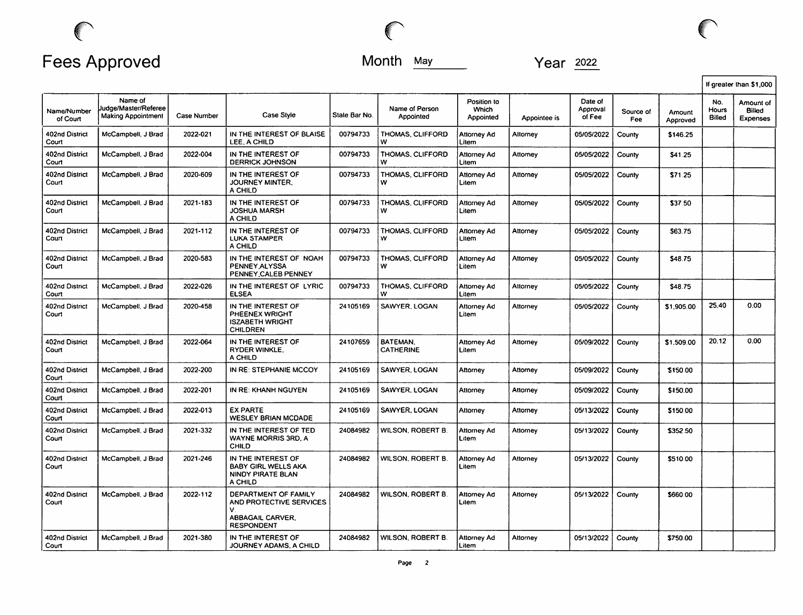

|                         |                                                              |                    |                                                                                                      |                                                           |                              |                                   |              |                               |                  |                    |                        | If greater than \$1,000         |
|-------------------------|--------------------------------------------------------------|--------------------|------------------------------------------------------------------------------------------------------|-----------------------------------------------------------|------------------------------|-----------------------------------|--------------|-------------------------------|------------------|--------------------|------------------------|---------------------------------|
| Name/Number<br>of Court | Name of<br>Judge/Master/Referee<br><b>Making Appointment</b> | <b>Case Number</b> | Case Style                                                                                           | State Bar No.                                             | Name of Person<br>Appointed  | Position to<br>Which<br>Appointed | Appointee is | Date of<br>Approval<br>of Fee | Source of<br>Fee | Amount<br>Approved | No.<br>Hours<br>Billed | Amount of<br>Billed<br>Expenses |
| 402nd District<br>Court | McCampbell, J Brad                                           | 2022-021           | IN THE INTEREST OF BLAISE<br>LEE, A CHILD                                                            | 00794733                                                  | THOMAS. CLIFFORD<br>w        | Attorney Ad<br>Litem              | Attorney     | 05/05/2022                    | County           | \$146.25           |                        |                                 |
| 402nd District<br>Court | McCampbell, J Brad                                           | 2022-004           | IN THE INTEREST OF<br><b>DERRICK JOHNSON</b>                                                         | 00794733                                                  | THOMAS, CLIFFORD<br>w        | Attorney Ad<br>Litem              | Attorney     | 05/05/2022                    | County           | \$41.25            |                        |                                 |
| 402nd District<br>Court | McCampbell, J Brad                                           | 2020-609           | IN THE INTEREST OF<br>JOURNEY MINTER.<br>A CHILD                                                     | 00794733                                                  | <b>THOMAS, CLIFFORD</b><br>w | Attorney Ad<br>Litem              | Attorney     | 05/05/2022                    | County           | \$71.25            |                        |                                 |
| 402nd District<br>Court | McCampbell, J Brad                                           | 2021-183           | IN THE INTEREST OF<br><b>JOSHUA MARSH</b><br>A CHILD                                                 | 00794733<br>THOMAS. CLIFFORD<br>Attornev Ad<br>w<br>Litem |                              | Attorney                          | 05/05/2022   | County                        | \$37.50          |                    |                        |                                 |
| 402nd District<br>Court | McCampbell, J Brad                                           | 2021-112           | IN THE INTEREST OF<br><b>LUKA STAMPER</b><br>A CHILD                                                 | 00794733                                                  | THOMAS, CLIFFORD<br>w        | Attorney Ad<br>Litem              | Attorney     | 05/05/2022                    | County           | \$63.75            |                        |                                 |
| 402nd District<br>Court | McCampbell, J Brad                                           | 2020-583           | IN THE INTEREST OF NOAH<br>PENNEY ALYSSA<br>PENNEY CALEB PENNEY                                      | 00794733                                                  | <b>THOMAS, CLIFFORD</b><br>w | Attorney Ad<br>Litem              | Attorney     | 05/05/2022                    | County           | \$48.75            |                        |                                 |
| 402nd District<br>Court | McCampbell, J Brad                                           | 2022-026           | IN THE INTEREST OF LYRIC<br><b>ELSEA</b>                                                             | 00794733                                                  | <b>THOMAS, CLIFFORD</b><br>w | Attorney Ad<br>Litem              | Attorney     | 05/05/2022                    | County           | \$48.75            |                        |                                 |
| 402nd District<br>Court | McCampbell, J Brad                                           | 2020-458           | IN THE INTEREST OF<br>PHEENEX WRIGHT<br><b>ISZABETH WRIGHT</b><br><b>CHILDREN</b>                    | 24105169                                                  | SAWYER, LOGAN                | Attorney Ad<br>Litem              | Attorney     | 05/05/2022                    | County           | \$1,905.00         | 25.40                  | 0.00                            |
| 402nd District<br>Court | McCampbell, J Brad                                           | 2022-064           | IN THE INTEREST OF<br><b>RYDER WINKLE.</b><br>A CHILD                                                | 24107659                                                  | BATEMAN.<br><b>CATHERINE</b> | Attorney Ad<br>Litem              | Attorney     | 05/09/2022                    | County           | \$1,509.00         | 20.12                  | 0.00                            |
| 402nd District<br>Court | McCampbell, J Brad                                           | 2022-200           | IN RE: STEPHANIE MCCOY                                                                               | 24105169                                                  | SAWYER, LOGAN                | Attorney                          | Attorney     | 05/09/2022                    | County           | \$150.00           |                        |                                 |
| 402nd District<br>Court | McCampbell, J Brad                                           | 2022-201           | IN RE: KHANH NGUYEN                                                                                  | 24105169                                                  | SAWYER, LOGAN                | Attorney                          | Attorney     | 05/09/2022                    | County           | \$150.00           |                        |                                 |
| 402nd District<br>Court | McCampbell, J Brad                                           | 2022-013           | <b>EX PARTE</b><br><b>WESLEY BRIAN MCDADE</b>                                                        | 24105169                                                  | SAWYER, LOGAN                | Attorney                          | Attorney     | 05/13/2022                    | County           | \$150.00           |                        |                                 |
| 402nd District<br>Court | McCampbell, J Brad                                           | 2021-332           | IN THE INTEREST OF TED<br><b>WAYNE MORRIS 3RD. A</b><br><b>CHILD</b>                                 | 24084982                                                  | WILSON, ROBERT B.            | <b>Attorney Ad</b><br>Litem       | Attornev     | 05/13/2022                    | County           | \$352.50           |                        |                                 |
| 402nd District<br>Court | McCampbell, J Brad                                           | 2021-246           | IN THE INTEREST OF<br><b>BABY GIRL WELLS AKA</b><br>NINDY PIRATE BLAN<br>A CHILD                     | 24084982                                                  | WILSON, ROBERT B.            | Attorney Ad<br>Litem              | Attorney     | 05/13/2022                    | County           | \$510.00           |                        |                                 |
| 402nd District<br>Court | McCampbell, J Brad                                           | 2022-112           | DEPARTMENT OF FAMILY<br>AND PROTECTIVE SERVICES<br>v<br><b>ABBAGAIL CARVER.</b><br><b>RESPONDENT</b> | 24084982                                                  | WILSON, ROBERT B             | Attorney Ad<br>Litem              | Attorney     | 05/13/2022                    | County           | \$660.00           |                        |                                 |
| 402nd District<br>Court | McCampbell, J Brad                                           | 2021-380           | IN THE INTEREST OF<br>JOURNEY ADAMS, A CHILD                                                         | 24084982                                                  | WILSON, ROBERT B.            | Attorney Ad<br>l Litem            | Attorney     | 05/13/2022                    | County           | \$750.00           |                        |                                 |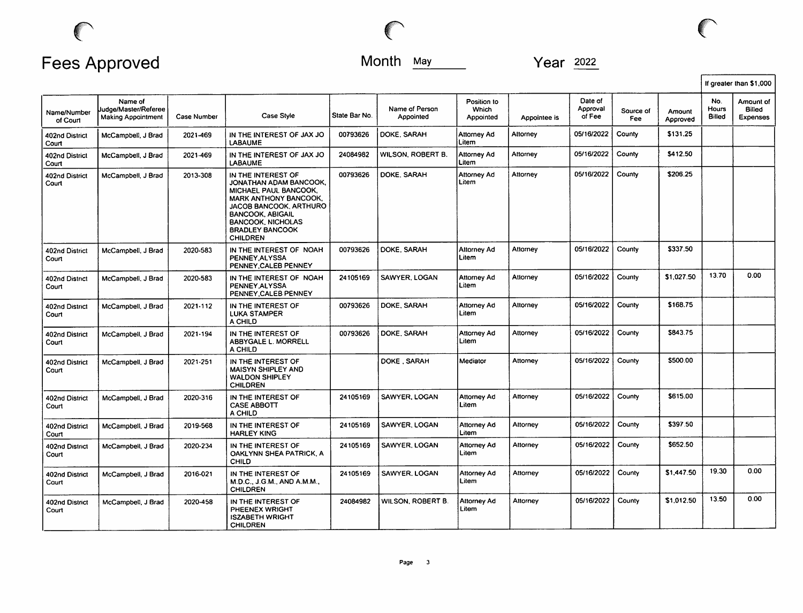$\big($ 

|                         |                                                       |             |                                                                                                                                                                                                                                     |               |                             |                                   |              |                               |                  |                    |                        | If greater than \$1,000                |
|-------------------------|-------------------------------------------------------|-------------|-------------------------------------------------------------------------------------------------------------------------------------------------------------------------------------------------------------------------------------|---------------|-----------------------------|-----------------------------------|--------------|-------------------------------|------------------|--------------------|------------------------|----------------------------------------|
| Name/Number<br>of Court | Name of<br>Judge/Master/Referee<br>Making Appointment | Case Number | Case Style                                                                                                                                                                                                                          | State Bar No. | Name of Person<br>Appointed | Position to<br>Which<br>Appointed | Appointee is | Date of<br>Approval<br>of Fee | Source of<br>Fee | Amount<br>Approved | No.<br>Hours<br>Billed | Amount of<br><b>Billed</b><br>Expenses |
| 402nd District<br>Court | McCampbell, J Brad                                    | 2021-469    | IN THE INTEREST OF JAX JO<br><b>LABAUME</b>                                                                                                                                                                                         | 00793626      | DOKE, SARAH                 | Attorney Ad<br>Litem              | Attorney     | 05/16/2022                    | County           | \$131.25           |                        |                                        |
| 402nd District<br>Court | McCampbell, J Brad                                    | 2021-469    | IN THE INTEREST OF JAX JO<br><b>LABAUME</b>                                                                                                                                                                                         | 24084982      | WILSON, ROBERT B.           | Attornev Ad<br>Litem              | Attorney     | 05/16/2022                    | County           | \$412.50           |                        |                                        |
| 402nd District<br>Court | McCampbell, J Brad                                    | 2013-308    | IN THE INTEREST OF<br>JONATHAN ADAM BANCOOK.<br>MICHAEL PAUL BANCOOK,<br><b>MARK ANTHONY BANCOOK,</b><br>JACOB BANCOOK, ARTHURO<br><b>BANCOOK, ABIGAIL</b><br><b>BANCOOK, NICHOLAS</b><br><b>BRADLEY BANCOOK</b><br><b>CHILDREN</b> | 00793626      | DOKE, SARAH                 | Attorney Ad<br>Litem              | Attorney     | 05/16/2022                    | County           | \$206.25           |                        |                                        |
| 402nd District<br>Court | McCampbell, J Brad                                    | 2020-583    | IN THE INTEREST OF NOAH<br>PENNEY ALYSSA<br>PENNEY, CALEB PENNEY                                                                                                                                                                    | 00793626      | DOKE, SARAH                 | <b>Attorney Ad</b><br>Litem       | Attorney     | 05/16/2022                    | County           | \$337.50           |                        |                                        |
| 402nd District<br>Court | McCampbell, J Brad                                    | 2020-583    | IN THE INTEREST OF NOAH<br>PENNEY.ALYSSA<br>PENNEY, CALEB PENNEY                                                                                                                                                                    | 24105169      | SAWYER, LOGAN               | <b>Attorney Ad</b><br>Litem       | Atlorney     | 05/16/2022                    | County           | \$1,027.50         | 13.70                  | 0.00                                   |
| 402nd District<br>Court | McCampbell, J Brad                                    | 2021-112    | IN THE INTEREST OF<br><b>LUKA STAMPER</b><br>A CHILD                                                                                                                                                                                | 00793626      | DOKE, SARAH                 | Attorney Ad<br>Litem              | Attorney     | 05/16/2022                    | County           | \$168.75           |                        |                                        |
| 402nd District<br>Court | McCampbell, J Brad                                    | 2021-194    | IN THE INTEREST OF<br>ABBYGALE L. MORRELL<br>A CHILD                                                                                                                                                                                | 00793626      | DOKE, SARAH                 | Attorney Ad<br>Litem              | Attorney     | 05/16/2022                    | County           | S843.75            |                        |                                        |
| 402nd District<br>Court | McCampbell, J Brad                                    | 2021-251    | IN THE INTEREST OF<br><b>MAISYN SHIPLEY AND</b><br><b>WALDON SHIPLEY</b><br><b>CHILDREN</b>                                                                                                                                         |               | DOKE . SARAH                | Mediator                          | Attorney     | 05/16/2022                    | County           | \$500.00           |                        |                                        |
| 402nd District<br>Court | McCampbell, J Brad                                    | 2020-316    | IN THE INTEREST OF<br><b>CASE ABBOTT</b><br>A CHILD                                                                                                                                                                                 | 24105169      | SAWYER, LOGAN               | <b>Attorney Ad</b><br>Litem       | Attorney     | 05/16/2022                    | County           | \$615.00           |                        |                                        |
| 402nd District<br>Court | McCampbell, J Brad                                    | 2019-568    | IN THE INTEREST OF<br><b>HARLEY KING</b>                                                                                                                                                                                            | 24105169      | SAWYER, LOGAN               | Attorney Ad<br>Litem              | Attorney     | 05/16/2022                    | County           | \$397.50           |                        |                                        |
| 402nd District<br>Court | McCampbell, J Brad                                    | 2020-234    | IN THE INTEREST OF<br>OAKLYNN SHEA PATRICK, A<br><b>CHILD</b>                                                                                                                                                                       | 24105169      | SAWYER, LOGAN               | <b>Attorney Ad</b><br>Litem       | Attorney     | 05/16/2022                    | County           | \$652.50           |                        |                                        |
| 402nd District<br>Court | McCampbell, J Brad                                    | 2016-021    | IN THE INTEREST OF<br>M.D.C., J.G.M., AND A.M.M.,<br><b>CHILDREN</b>                                                                                                                                                                | 24105169      | SAWYER, LOGAN               | Attorney Ad<br>Litem              | Attorney     | 05/16/2022                    | County           | \$1,447.50         | 19.30                  | 0.00                                   |
| 402nd District<br>Court | McCampbell, J Brad                                    | 2020-458    | IN THE INTEREST OF<br>PHEENEX WRIGHT<br><b>ISZABETH WRIGHT</b><br><b>CHILDREN</b>                                                                                                                                                   | 24084982      | WILSON, ROBERT B.           | <b>Attorney Ad</b><br>Litem       | Attorney     | 05/16/2022                    | County           | \$1,012.50         | 13.50                  | 0.00                                   |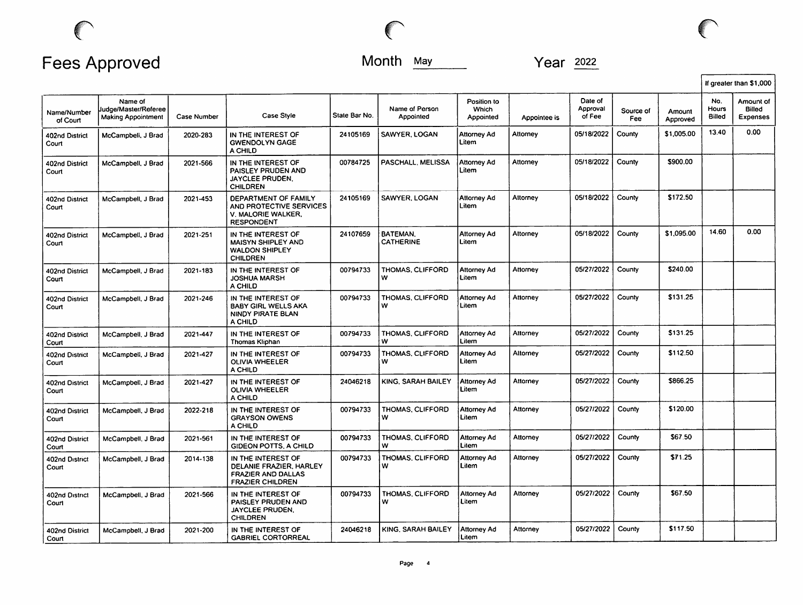|                         |                                                              |             |                                                                                                       |               |                              |                                   |              |                               |                  |                    | If greater than \$1,000 |                                        |
|-------------------------|--------------------------------------------------------------|-------------|-------------------------------------------------------------------------------------------------------|---------------|------------------------------|-----------------------------------|--------------|-------------------------------|------------------|--------------------|-------------------------|----------------------------------------|
| Name/Number<br>of Court | Name of<br>Judge/Master/Referee<br><b>Making Appointment</b> | Case Number | Case Style                                                                                            | State Bar No. | Name of Person<br>Appointed  | Position to<br>Which<br>Appointed | Appointee is | Date of<br>Approval<br>of Fee | Source of<br>Fee | Amount<br>Approved | No.<br>Hours<br>Billed  | Amount of<br>Billed<br><b>Expenses</b> |
| 402nd District<br>Court | McCampbell, J Brad                                           | 2020-283    | IN THE INTEREST OF<br><b>GWENDOLYN GAGE</b><br>A CHILD                                                | 24105169      | SAWYER, LOGAN                | Attorney Ad<br>Litem              | Attorney     | 05/18/2022                    | County           | \$1,005.00         | 13.40                   | 0.00                                   |
| 402nd District<br>Court | McCampbell, J Brad                                           | 2021-566    | IN THE INTEREST OF<br>PAISLEY PRUDEN AND<br>JAYCLEE PRUDEN.<br><b>CHILDREN</b>                        | 00784725      | PASCHALL, MELISSA            | Attorney Ad<br>Litem              | Attorney     | 05/18/2022                    | County           | \$900.00           |                         |                                        |
| 402nd District<br>Court | McCampbell, J Brad                                           | 2021-453    | DEPARTMENT OF FAMILY<br>AND PROTECTIVE SERVICES<br>V. MALORIE WALKER.<br><b>RESPONDENT</b>            | 24105169      | SAWYER, LOGAN                | Attorney Ad<br>Litem              | Attorney     | 05/18/2022                    | County           | \$172.50           |                         |                                        |
| 402nd District<br>Court | McCampbell, J Brad                                           | 2021-251    | IN THE INTEREST OF<br><b>MAISYN SHIPLEY AND</b><br><b>WALDON SHIPLEY</b><br><b>CHILDREN</b>           | 24107659      | BATEMAN.<br><b>CATHERINE</b> | Attorney Ad<br>Litem              | Attorney     | 05/18/2022                    | County           | \$1,095.00         | 14.60                   | 0.00                                   |
| 402nd District<br>Court | McCampbell, J Brad                                           | 2021-183    | IN THE INTEREST OF<br><b>JOSHUA MARSH</b><br>A CHILD                                                  | 00794733      | THOMAS, CLIFFORD<br>w        | <b>Attorney Ad</b><br>Litem       | Attorney     | 05/27/2022                    | County           | \$240.00           |                         |                                        |
| 402nd District<br>Court | McCampbell, J Brad                                           | 2021-246    | IN THE INTEREST OF<br><b>BABY GIRL WELLS AKA</b><br>NINDY PIRATE BLAN<br>A CHILD                      | 00794733      | THOMAS, CLIFFORD<br>w        | Attorney Ad<br>Litem              | Attorney     | 05/27/2022                    | County           | \$131.25           |                         |                                        |
| 402nd District<br>Court | McCampbell, J Brad                                           | 2021-447    | IN THE INTEREST OF<br>Thomas Kliphan                                                                  | 00794733      | THOMAS, CLIFFORD<br>w        | Attorney Ad<br>Litem              | Attorney     | 05/27/2022                    | County           | \$131.25           |                         |                                        |
| 402nd District<br>Court | McCampbell, J Brad                                           | 2021-427    | IN THE INTEREST OF<br><b>OLIVIA WHEELER</b><br>A CHILD                                                | 00794733      | THOMAS, CLIFFORD<br>w        | Attorney Ad<br>Litem              | Attorney     | 05/27/2022                    | County           | \$112.50           |                         |                                        |
| 402nd District<br>Court | McCampbell, J Brad                                           | 2021-427    | IN THE INTEREST OF<br><b>OLIVIA WHEELER</b><br>A CHILD                                                | 24046218      | KING, SARAH BAILEY           | <b>Attorney Ad</b><br>Litem       | Attorney     | 05/27/2022                    | County           | \$866.25           |                         |                                        |
| 402nd District<br>Court | McCampbell, J Brad                                           | 2022-218    | IN THE INTEREST OF<br><b>GRAYSON OWENS</b><br>A CHILD                                                 | 00794733      | THOMAS, CLIFFORD<br>w        | <b>Attorney Ad</b><br>Litem       | Attorney     | 05/27/2022                    | County           | \$120.00           |                         |                                        |
| 402nd District<br>Court | McCampbell, J Brad                                           | 2021-561    | IN THE INTEREST OF<br>GIDEON POTTS, A CHILD                                                           | 00794733      | THOMAS, CLIFFORD<br>w        | <b>Attorney Ad</b><br>Litem       | Attorney     | 05/27/2022                    | County           | \$67.50            |                         |                                        |
| 402nd District<br>Court | McCampbell, J Brad                                           | 2014-138    | IN THE INTEREST OF<br>DELANIE FRAZIER, HARLEY<br><b>FRAZIER AND DALLAS</b><br><b>FRAZIER CHILDREN</b> | 00794733      | THOMAS, CLIFFORD<br>w        | <b>Attorney Ad</b><br>Litem       | Attorney     | 05/27/2022                    | County           | \$71.25            |                         |                                        |
| 402nd District<br>Court | McCampbell, J Brad                                           | 2021-566    | IN THE INTEREST OF<br>PAISLEY PRUDEN AND<br>JAYCLEE PRUDEN.<br><b>CHILDREN</b>                        | 00794733      | THOMAS, CLIFFORD<br>w        | Attorney Ad<br>Litem              | Attorney     | 05/27/2022                    | County           | \$67.50            |                         |                                        |
| 402nd District<br>Court | McCampbell, J Brad                                           | 2021-200    | IN THE INTEREST OF<br><b>GABRIEL CORTORREAL</b>                                                       | 24046218      | KING, SARAH BAILEY           | <b>Attorney Ad</b><br>Litem       | Attorney     | 05/27/2022                    | County           | \$117.50           |                         |                                        |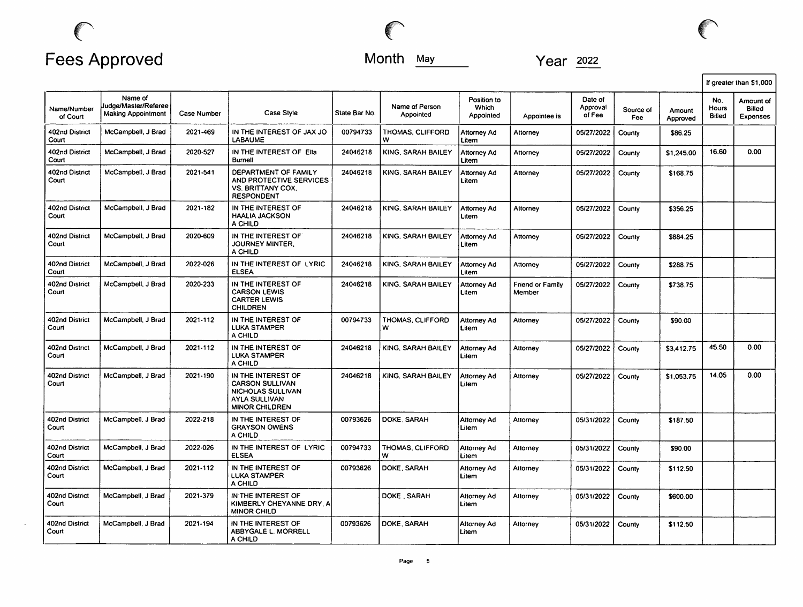

|                         |                                                       |                    |                                                                                                             |               |                             |                                   |                                   |                               |                  |                    |                               | If greater than \$1,000                |
|-------------------------|-------------------------------------------------------|--------------------|-------------------------------------------------------------------------------------------------------------|---------------|-----------------------------|-----------------------------------|-----------------------------------|-------------------------------|------------------|--------------------|-------------------------------|----------------------------------------|
| Name/Number<br>of Court | Name of<br>Judge/Master/Referee<br>Making Appointment | <b>Case Number</b> | Case Style                                                                                                  | State Bar No. | Name of Person<br>Appointed | Position to<br>Which<br>Appointed | Appointee is                      | Date of<br>Approval<br>of Fee | Source of<br>Fee | Amount<br>Approved | No.<br>Hours<br><b>Billed</b> | Amount of<br>Billed<br><b>Expenses</b> |
| 402nd District<br>Court | McCamobell, J Brad                                    | 2021-469           | IN THE INTEREST OF JAX JO<br><b>LABAUME</b>                                                                 | 00794733      | THOMAS, CLIFFORD<br>w       | <b>Attorney Ad</b><br>Litem       | Attorney                          | 05/27/2022                    | County           | \$86.25            |                               |                                        |
| 402nd District<br>Court | McCampbell, J Brad                                    | 2020-527           | IN THE INTEREST OF Ella<br><b>Burnell</b>                                                                   | 24046218      | KING, SARAH BAILEY          | <b>Attorney Ad</b><br>Litem       | Attorney                          | 05/27/2022                    | County           | \$1,245.00         | 16.60                         | 0.00                                   |
| 402nd District<br>Court | McCampbell, J Brad                                    | 2021-541           | DEPARTMENT OF FAMILY<br>AND PROTECTIVE SERVICES<br><b>VS. BRITTANY COX.</b><br><b>RESPONDENT</b>            | 24046218      | KING, SARAH BAILEY          | Attorney Ad<br>Litem              | Attorney                          | 05/27/2022                    | County           | \$168.75           |                               |                                        |
| 402nd District<br>Court | McCampbell, J Brad                                    | 2021-182           | IN THE INTEREST OF<br><b>HAALIA JACKSON</b><br>A CHILD                                                      | 24046218      | KING, SARAH BAILEY          | <b>Attorney Ad</b><br>Litem       | Altorney                          | 05/27/2022                    | County           | \$356.25           |                               |                                        |
| 402nd District<br>Court | McCampbell, J Brad                                    | 2020-609           | IN THE INTEREST OF<br>JOURNEY MINTER.<br>A CHILD                                                            | 24046218      | KING, SARAH BAILEY          | Attorney Ad<br>Litem              | Attorney                          | 05/27/2022                    | County           | \$884.25           |                               |                                        |
| 402nd District<br>Court | McCampbell, J Brad                                    | 2022-026           | IN THE INTEREST OF LYRIC<br><b>ELSEA</b>                                                                    | 24046218      | KING, SARAH BAILEY          | <b>Attorney Ad</b><br>Litem       | Attorney                          | 05/27/2022                    | County           | \$288.75           |                               |                                        |
| 402nd District<br>Court | McCampbell, J Brad                                    | 2020-233           | IN THE INTEREST OF<br><b>CARSON LEWIS</b><br><b>CARTER LEWIS</b><br><b>CHILDREN</b>                         | 24046218      | KING, SARAH BAILEY          | <b>Attorney Ad</b><br>Litem       | <b>Friend or Family</b><br>Member | 05/27/2022                    | County           | \$738.75           |                               |                                        |
| 402nd District<br>Court | McCampbell, J Brad                                    | 2021-112           | IN THE INTEREST OF<br><b>LUKA STAMPER</b><br>A CHILD                                                        | 00794733      | THOMAS, CLIFFORD<br>w       | Attorney Ad<br>Litem              | Attorney                          | 05/27/2022                    | County           | \$90.00            |                               |                                        |
| 402nd District<br>Court | McCampbell, J Brad                                    | 2021-112           | IN THE INTEREST OF<br>LUKA STAMPER<br>A CHILD                                                               | 24046218      | KING, SARAH BAILEY          | Attorney Ad<br>Litem              | Attorney                          | 05/27/2022                    | County           | \$3,412.75         | 45.50                         | 0.00                                   |
| 402nd District<br>Court | McCampbell, J Brad                                    | 2021-190           | IN THE INTEREST OF<br><b>CARSON SULLIVAN</b><br>NICHOLAS SULLIVAN<br>AYLA SULLIVAN<br><b>MINOR CHILDREN</b> | 24046218      | KING, SARAH BAILEY          | Attorney Ad<br>Litem              | Attorney                          | 05/27/2022                    | County           | \$1,053.75         | 14.05                         | 0.00                                   |
| 402nd District<br>Court | McCampbell, J Brad                                    | 2022-218           | IN THE INTEREST OF<br><b>GRAYSON OWENS</b><br>A CHILD                                                       | 00793626      | DOKE, SARAH                 | <b>Attorney Ad</b><br>Litem       | Attorney                          | 05/31/2022                    | County           | \$187.50           |                               |                                        |
| 402nd District<br>Court | McCampbell, J Brad                                    | 2022-026           | IN THE INTEREST OF LYRIC<br><b>ELSEA</b>                                                                    | 00794733      | THOMAS, CLIFFORD<br>w       | <b>Attorney Ad</b><br>Litem       | Attorney                          | 05/31/2022                    | County           | \$90.00            |                               |                                        |
| 402nd District<br>Court | McCampbell, J Brad                                    | 2021-112           | IN THE INTEREST OF<br><b>LUKA STAMPER</b><br>A CHILD                                                        | 00793626      | DOKE, SARAH                 | Attorney Ad<br>Litem              | Attorney                          | 05/31/2022                    | County           | \$112.50           |                               |                                        |
| 402nd District<br>Court | McCampbell, J Brad                                    | 2021-379           | IN THE INTEREST OF<br>KIMBERLY CHEYANNE DRY, A<br><b>MINOR CHILD</b>                                        |               | DOKE . SARAH                | Attorney Ad<br>Litem              | Attorney                          | 05/31/2022                    | County           | \$600.00           |                               |                                        |
| 402nd District<br>Court | McCampbell, J Brad                                    | 2021-194           | IN THE INTEREST OF<br>ABBYGALE L. MORRELL<br>A CHILD                                                        | 00793626      | DOKE, SARAH                 | <b>Attorney Ad</b><br>Litem       | Attorney                          | 05/31/2022                    | County           | \$112.50           |                               |                                        |